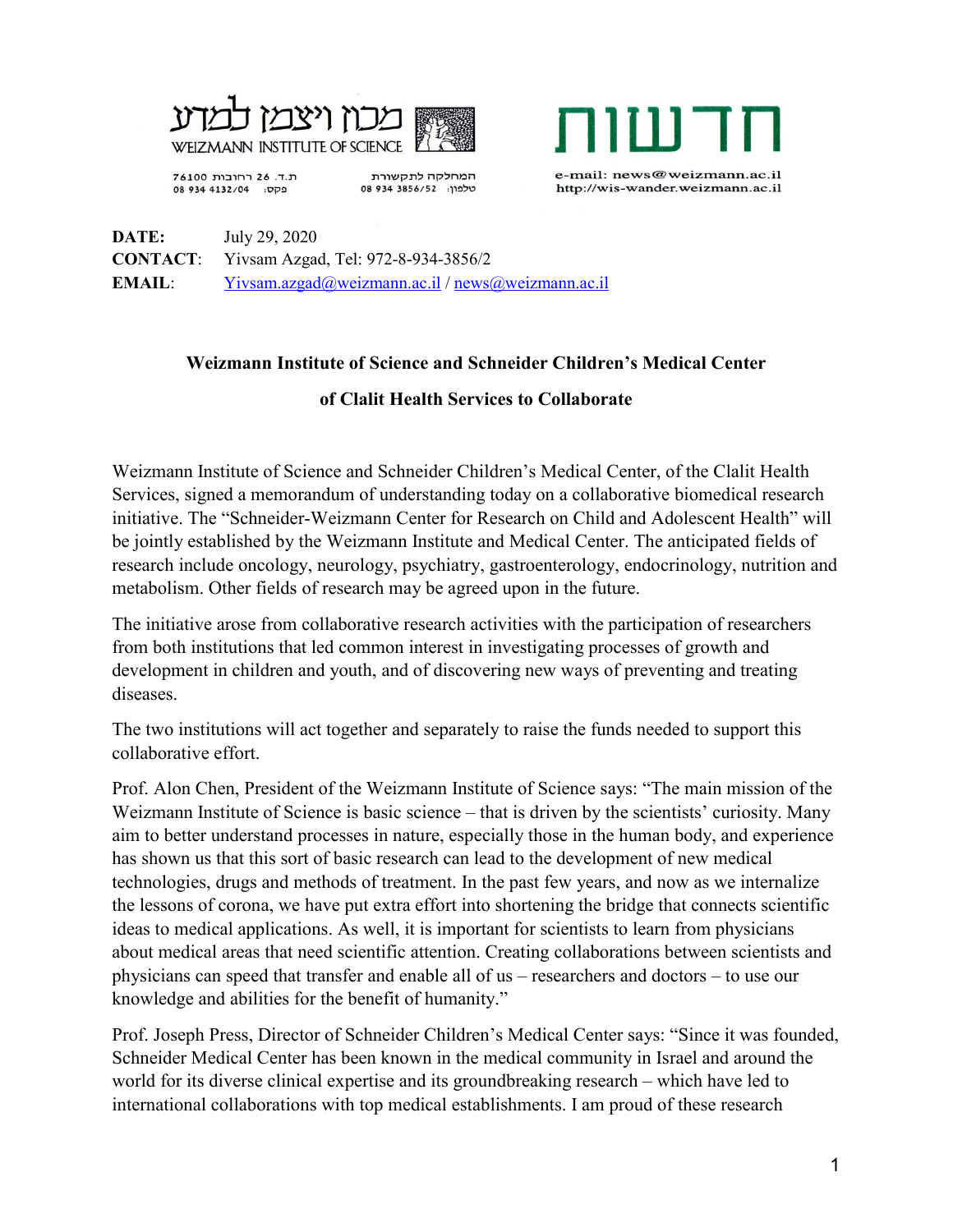



ת.ד. 26 רחובות 76100 פקס: 08 934 4132/04

המחלקה לתקשורת 08 934 3856/52 :08 e-mail: news@weizmann.ac.il http://wis-wander.weizmann.ac.il

**DATE:** July 29, 2020 **CONTACT**: Yivsam Azgad, Tel: 972-8-934-3856/2 **EMAIL**: [Yivsam.azgad@weizmann.ac.il](mailto:Yivsam.azgad@weizmann.ac.il) / [news@weizmann.ac.il](mailto:news@weizmann.ac.il)

## **Weizmann Institute of Science and Schneider Children's Medical Center of Clalit Health Services to Collaborate**

Weizmann Institute of Science and Schneider Children's Medical Center, of the Clalit Health Services, signed a memorandum of understanding today on a collaborative biomedical research initiative. The "Schneider-Weizmann Center for Research on Child and Adolescent Health" will be jointly established by the Weizmann Institute and Medical Center. The anticipated fields of research include oncology, neurology, psychiatry, gastroenterology, endocrinology, nutrition and metabolism. Other fields of research may be agreed upon in the future.

The initiative arose from collaborative research activities with the participation of researchers from both institutions that led common interest in investigating processes of growth and development in children and youth, and of discovering new ways of preventing and treating diseases.

The two institutions will act together and separately to raise the funds needed to support this collaborative effort.

Prof. Alon Chen, President of the Weizmann Institute of Science says: "The main mission of the Weizmann Institute of Science is basic science – that is driven by the scientists' curiosity. Many aim to better understand processes in nature, especially those in the human body, and experience has shown us that this sort of basic research can lead to the development of new medical technologies, drugs and methods of treatment. In the past few years, and now as we internalize the lessons of corona, we have put extra effort into shortening the bridge that connects scientific ideas to medical applications. As well, it is important for scientists to learn from physicians about medical areas that need scientific attention. Creating collaborations between scientists and physicians can speed that transfer and enable all of us – researchers and doctors – to use our knowledge and abilities for the benefit of humanity."

Prof. Joseph Press, Director of Schneider Children's Medical Center says: "Since it was founded, Schneider Medical Center has been known in the medical community in Israel and around the world for its diverse clinical expertise and its groundbreaking research – which have led to international collaborations with top medical establishments. I am proud of these research